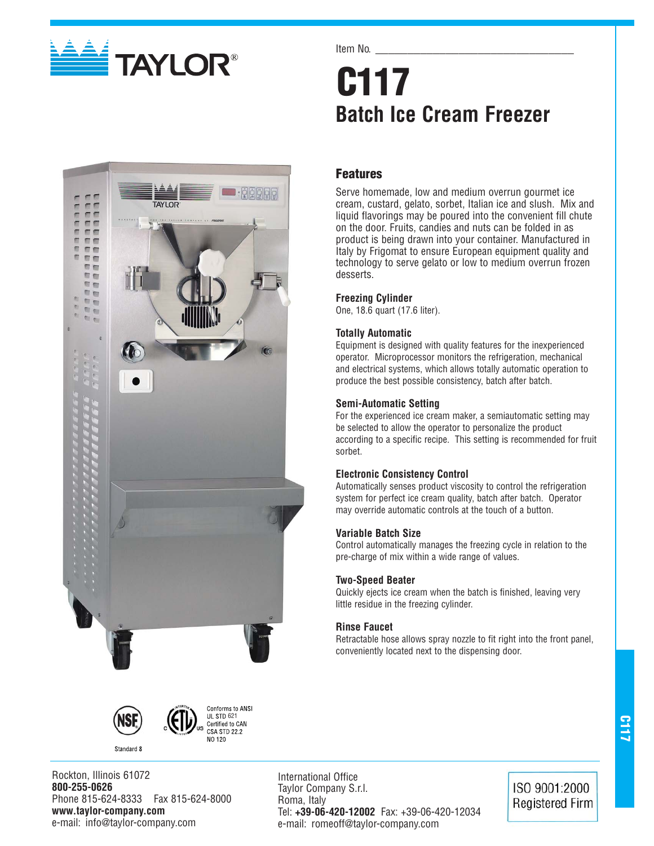

# Item No. **C117 Batch Ice Cream Freezer**

# **Features**

Serve homemade, low and medium overrun gourmet ice cream, custard, gelato, sorbet, Italian ice and slush. Mix and liquid flavorings may be poured into the convenient fill chute on the door. Fruits, candies and nuts can be folded in as product is being drawn into your container. Manufactured in Italy by Frigomat to ensure European equipment quality and technology to serve gelato or low to medium overrun frozen desserts.

# **Freezing Cylinder**

One, 18.6 quart (17.6 liter).

# **Totally Automatic**

Equipment is designed with quality features for the inexperienced operator. Microprocessor monitors the refrigeration, mechanical and electrical systems, which allows totally automatic operation to produce the best possible consistency, batch after batch.

# **Semi-Automatic Setting**

For the experienced ice cream maker, a semiautomatic setting may be selected to allow the operator to personalize the product according to a specific recipe. This setting is recommended for fruit sorbet.

# **Electronic Consistency Control**

Automatically senses product viscosity to control the refrigeration system for perfect ice cream quality, batch after batch. Operator may override automatic controls at the touch of a button.

# **Variable Batch Size**

Control automatically manages the freezing cycle in relation to the pre-charge of mix within a wide range of values.

# **Two-Speed Beater**

Quickly ejects ice cream when the batch is finished, leaving very little residue in the freezing cylinder.

# **Rinse Faucet**

Retractable hose allows spray nozzle to fit right into the front panel, conveniently located next to the dispensing door.



Standard 8



Rockton, Illinois 61072 **800-255-0626** Phone 815-624-8333 Fax 815-624-8000 **www.taylor-company.com** e-mail: info@taylor-company.com

International Office Taylor Company S.r.l. Roma, Italy Tel: **+39-06-420-12002** Fax: +39-06-420-12034 e-mail: romeoff@taylor-company.com

ISO 9001:2000 **Registered Firm**